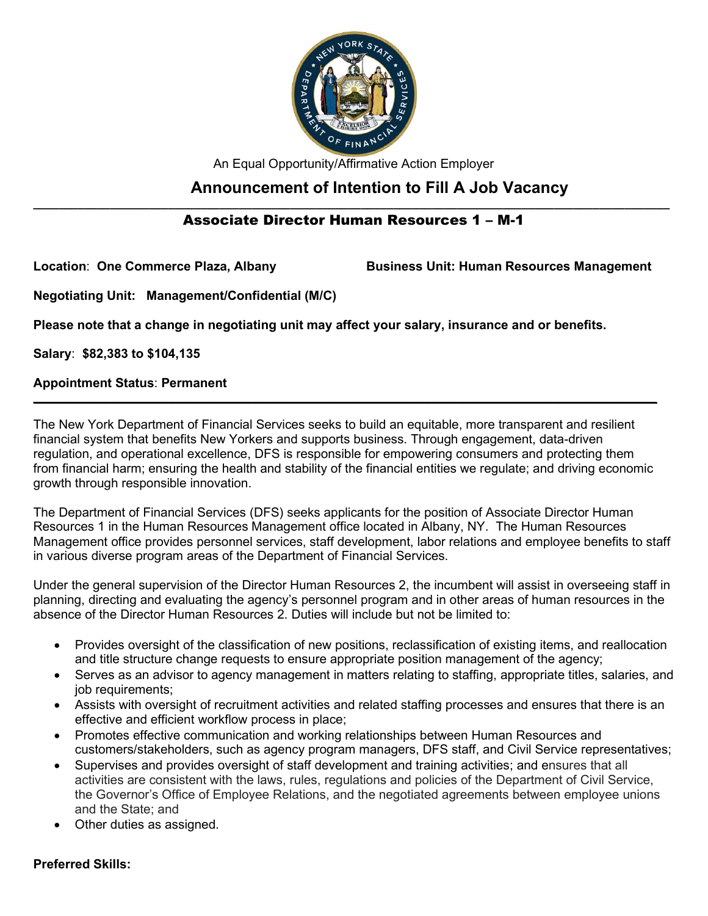

An Equal Opportunity/Affirmative Action Employer

# **Announcement of Intention to Fill A Job Vacancy**

#### **\_\_\_\_\_\_\_\_\_\_\_\_\_\_\_\_\_\_\_\_\_\_\_\_\_\_\_\_\_\_\_\_\_\_\_\_\_\_\_\_\_\_\_\_\_\_\_\_\_\_\_\_\_\_\_\_\_\_\_\_\_\_\_\_\_\_\_\_\_\_\_\_\_\_\_\_\_\_\_\_\_\_\_\_\_\_\_\_\_\_\_\_\_\_\_\_\_\_\_** Associate Director Human Resources 1 – M-1

Location: One Commerce Plaza, Albany **Business Unit: Human Resources Management** 

**Negotiating Unit: Management/Confidential (M/C)**

**Please note that a change in negotiating unit may affect your salary, insurance and or benefits.**

**Salary**: **\$82,383 to \$104,135**

# **Appointment Status**: **Permanent**

The New York Department of Financial Services seeks to build an equitable, more transparent and resilient financial system that benefits New Yorkers and supports business. Through engagement, data-driven regulation, and operational excellence, DFS is responsible for empowering consumers and protecting them from financial harm; ensuring the health and stability of the financial entities we regulate; and driving economic growth through responsible innovation.

**\_\_\_\_\_\_\_\_\_\_\_\_\_\_\_\_\_\_\_\_\_\_\_\_\_\_\_\_\_\_\_\_\_\_\_\_\_\_\_\_\_\_\_\_\_\_\_\_\_\_\_\_\_\_\_\_\_\_\_\_\_\_\_\_\_\_\_\_\_\_\_\_\_\_\_\_\_\_\_\_\_\_\_\_\_\_\_\_\_\_\_\_\_\_\_\_\_**

The Department of Financial Services (DFS) seeks applicants for the position of Associate Director Human Resources 1 in the Human Resources Management office located in Albany, NY. The Human Resources Management office provides personnel services, staff development, labor relations and employee benefits to staff in various diverse program areas of the Department of Financial Services.

Under the general supervision of the Director Human Resources 2, the incumbent will assist in overseeing staff in planning, directing and evaluating the agency's personnel program and in other areas of human resources in the absence of the Director Human Resources 2. Duties will include but not be limited to:

- Provides oversight of the classification of new positions, reclassification of existing items, and reallocation and title structure change requests to ensure appropriate position management of the agency;
- Serves as an advisor to agency management in matters relating to staffing, appropriate titles, salaries, and job requirements;
- Assists with oversight of recruitment activities and related staffing processes and ensures that there is an effective and efficient workflow process in place;
- Promotes effective communication and working relationships between Human Resources and customers/stakeholders, such as agency program managers, DFS staff, and Civil Service representatives;
- Supervises and provides oversight of staff development and training activities; and ensures that all activities are consistent with the laws, rules, regulations and policies of the Department of Civil Service, the Governor's Office of Employee Relations, and the negotiated agreements between employee unions and the State; and
- Other duties as assigned.

## **Preferred Skills:**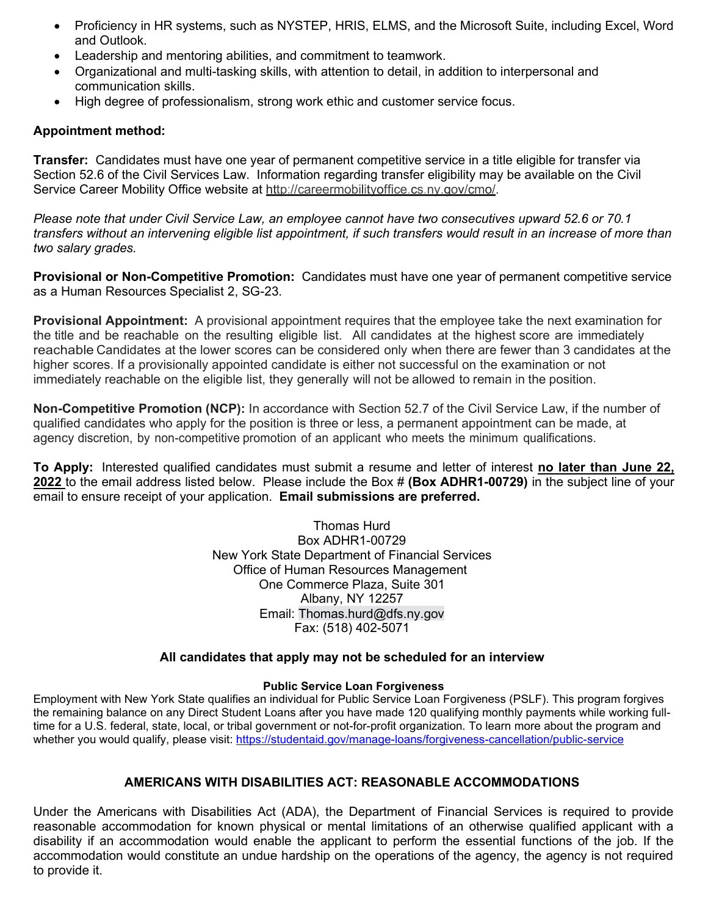- Proficiency in HR systems, such as NYSTEP, HRIS, ELMS, and the Microsoft Suite, including Excel, Word and Outlook.
- Leadership and mentoring abilities, and commitment to teamwork.
- Organizational and multi-tasking skills, with attention to detail, in addition to interpersonal and communication skills.
- High degree of professionalism, strong work ethic and customer service focus.

#### **Appointment method:**

**Transfer:** Candidates must have one year of permanent competitive service in a title eligible for transfer via Section 52.6 of the Civil Services Law. Information regarding transfer eligibility may be available on the Civil Service Career Mobility Office website at [http://careermobilityoffice.cs.ny.gov/cmo/.](http://careermobilityoffice.cs.ny.gov/cmo/)

*Please note that under Civil Service Law, an employee cannot have two consecutives upward 52.6 or 70.1 transfers without an intervening eligible list appointment, if such transfers would result in an increase of more than two salary grades.*

**Provisional or Non-Competitive Promotion:** Candidates must have one year of permanent competitive service as a Human Resources Specialist 2, SG-23.

**Provisional Appointment:** A provisional appointment requires that the employee take the next examination for the title and be reachable on the resulting eligible list. All candidates at the highest score are immediately reachable. Candidates at the lower scores can be considered only when there are fewer than 3 candidates at the higher scores. If a provisionally appointed candidate is either not successful on the examination or not immediately reachable on the eligible list, they generally will not be allowed to remain in the position.

**Non-Competitive Promotion (NCP):** In accordance with Section 52.7 of the Civil Service Law, if the number of qualified candidates who apply for the position is three or less, a permanent appointment can be made, at agency discretion, by non-competitive promotion of an applicant who meets the minimum qualifications.

**To Apply:** Interested qualified candidates must submit a resume and letter of interest **no later than June 22, 2022** to the email address listed below. Please include the Box # **(Box ADHR1-00729)** in the subject line of your email to ensure receipt of your application. **Email submissions are preferred.**

> Thomas Hurd Box ADHR1-00729 New York State Department of Financial Services Office of Human Resources Management One Commerce Plaza, Suite 301 Albany, NY 12257 Email: Thomas.hurd@dfs.ny.gov Fax: (518) 402-5071

#### **All candidates that apply may not be scheduled for an interview**

#### **Public Service Loan Forgiveness**

Employment with New York State qualifies an individual for Public Service Loan Forgiveness (PSLF). This program forgives the remaining balance on any Direct Student Loans after you have made 120 qualifying monthly payments while working fulltime for a U.S. federal, state, local, or tribal government or not-for-profit organization. To learn more about the program and whether you would qualify, please visit: [https://studentaid.gov/manage-loans/forgiveness-cancellation/public-service](https://gcc02.safelinks.protection.outlook.com/?url=https%3A%2F%2Fstudentaid.gov%2Fmanage-loans%2Fforgiveness-cancellation%2Fpublic-service&data=05%7C01%7CRyan.Taratus%40dfs.ny.gov%7Ca5589a885aaa4f38409c08da4d44e1f8%7Cf46cb8ea79004d108ceb80e8c1c81ee7%7C0%7C0%7C637907255482013888%7CUnknown%7CTWFpbGZsb3d8eyJWIjoiMC4wLjAwMDAiLCJQIjoiV2luMzIiLCJBTiI6Ik1haWwiLCJXVCI6Mn0%3D%7C3000%7C%7C%7C&sdata=eRLRIHKEIgoxAyHSe3KYdxL5EDZ5imMKw6lim0EDHBM%3D&reserved=0)

## **AMERICANS WITH DISABILITIES ACT: REASONABLE ACCOMMODATIONS**

Under the Americans with Disabilities Act (ADA), the Department of Financial Services is required to provide reasonable accommodation for known physical or mental limitations of an otherwise qualified applicant with a disability if an accommodation would enable the applicant to perform the essential functions of the job. If the accommodation would constitute an undue hardship on the operations of the agency, the agency is not required to provide it.